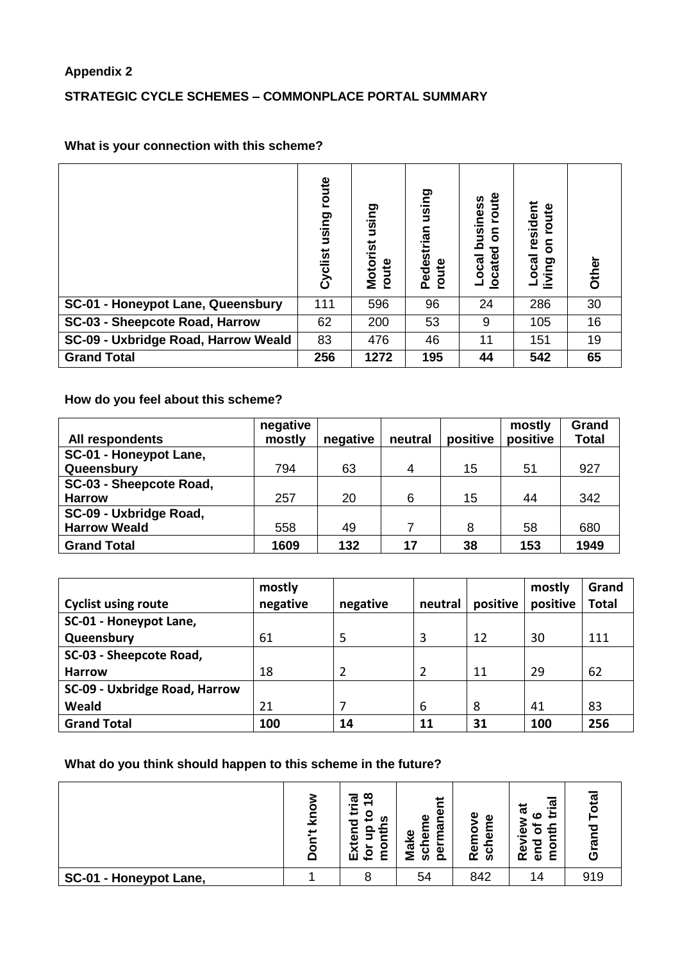#### **Appendix 2**

### **STRATEGIC CYCLE SCHEMES – COMMONPLACE PORTAL SUMMARY**

## **What is your connection with this scheme?**

|                                     | route<br>using<br>Cyclist | using<br>Motorist<br>route | using<br>Pedestrian<br>route | route<br>business<br>5<br>ਠ<br><b>locate</b><br>Local | resident<br>route<br>5<br>Local<br>living | Other |
|-------------------------------------|---------------------------|----------------------------|------------------------------|-------------------------------------------------------|-------------------------------------------|-------|
| SC-01 - Honeypot Lane, Queensbury   | 111                       | 596                        | 96                           | 24                                                    | 286                                       | 30    |
| SC-03 - Sheepcote Road, Harrow      | 62                        | 200                        | 53                           | 9                                                     | 105                                       | 16    |
| SC-09 - Uxbridge Road, Harrow Weald | 83                        | 476                        | 46                           | 11                                                    | 151                                       | 19    |
| <b>Grand Total</b>                  | 256                       | 1272                       | 195                          | 44                                                    | 542                                       | 65    |

#### **How do you feel about this scheme?**

|                         | negative |          |         |          | mostly   | Grand        |
|-------------------------|----------|----------|---------|----------|----------|--------------|
| All respondents         | mostly   | negative | neutral | positive | positive | <b>Total</b> |
| SC-01 - Honeypot Lane,  |          |          |         |          |          |              |
| Queensbury              | 794      | 63       | 4       | 15       | 51       | 927          |
| SC-03 - Sheepcote Road, |          |          |         |          |          |              |
| <b>Harrow</b>           | 257      | 20       | 6       | 15       | 44       | 342          |
| SC-09 - Uxbridge Road,  |          |          |         |          |          |              |
| <b>Harrow Weald</b>     | 558      | 49       |         | 8        | 58       | 680          |
| <b>Grand Total</b>      | 1609     | 132      | 17      | 38       | 153      | 1949         |

|                               | mostly   |          |         |          | mostly   | Grand        |
|-------------------------------|----------|----------|---------|----------|----------|--------------|
| <b>Cyclist using route</b>    | negative | negative | neutral | positive | positive | <b>Total</b> |
| SC-01 - Honeypot Lane,        |          |          |         |          |          |              |
| Queensbury                    | 61       | 5        | 3       | 12       | 30       | 111          |
| SC-03 - Sheepcote Road,       |          |          |         |          |          |              |
| <b>Harrow</b>                 | 18       | 2        | 2       | 11       | 29       | 62           |
| SC-09 - Uxbridge Road, Harrow |          |          |         |          |          |              |
| Weald                         | 21       |          | 6       | 8        | 41       | 83           |
| <b>Grand Total</b>            | 100      | 14       | 11      | 31       | 100      | 256          |

### **What do you think should happen to this scheme in the future?**

|                        | ⊽<br>پ | ∞<br>ಸ<br>--<br>ىپ<br>o<br>n<br>7<br>ω<br>o<br>ŵ<br><u>ي</u> | ⊭<br>$\omega$<br>ω<br>⊂<br>ᠭᠣ<br>ତ<br>ω<br>ξ<br>$\omega$<br>$\mathbf c$<br>$\Omega$<br>w | Φ<br>Φ<br>Ō<br>έ<br>Re<br>ပ္တ | <u>್ಲಾ</u><br>ಕ<br>≎<br>$\mathbf c$<br>᠆<br>سە<br>о<br>O<br>Φ<br>٤<br>œ<br>Φ |     |
|------------------------|--------|--------------------------------------------------------------|------------------------------------------------------------------------------------------|-------------------------------|------------------------------------------------------------------------------|-----|
| SC-01 - Honeypot Lane, |        |                                                              | 54                                                                                       | 842                           | 14                                                                           | 919 |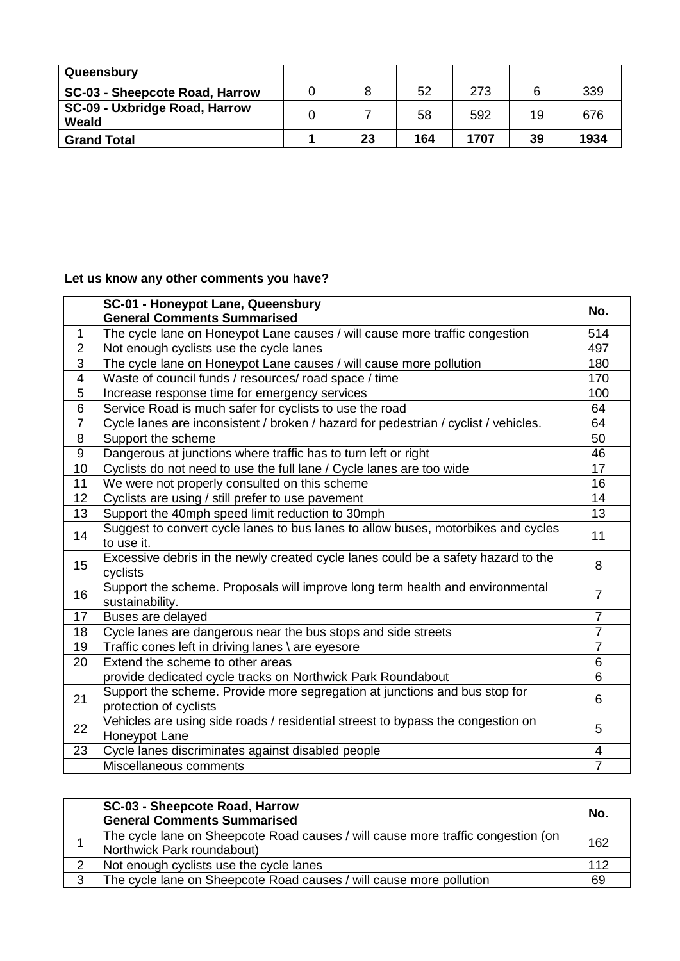| Queensbury                             |    |     |      |    |      |
|----------------------------------------|----|-----|------|----|------|
| SC-03 - Sheepcote Road, Harrow         |    | 52  | 273  |    | 339  |
| SC-09 - Uxbridge Road, Harrow<br>Weald |    | 58  | 592  | 19 | 676  |
| <b>Grand Total</b>                     | 23 | 164 | 1707 | 39 | 1934 |

# **Let us know any other comments you have?**

|                | SC-01 - Honeypot Lane, Queensbury                                                                | No.            |
|----------------|--------------------------------------------------------------------------------------------------|----------------|
|                | <b>General Comments Summarised</b>                                                               |                |
| 1              | The cycle lane on Honeypot Lane causes / will cause more traffic congestion                      | 514            |
| $\overline{2}$ | Not enough cyclists use the cycle lanes                                                          | 497            |
| $\overline{3}$ | The cycle lane on Honeypot Lane causes / will cause more pollution                               | 180            |
| 4              | Waste of council funds / resources/ road space / time                                            | 170            |
| 5              | Increase response time for emergency services                                                    | 100            |
| 6              | Service Road is much safer for cyclists to use the road                                          | 64             |
| $\overline{7}$ | Cycle lanes are inconsistent / broken / hazard for pedestrian / cyclist / vehicles.              | 64             |
| 8              | Support the scheme                                                                               | 50             |
| $\overline{9}$ | Dangerous at junctions where traffic has to turn left or right                                   | 46             |
| 10             | Cyclists do not need to use the full lane / Cycle lanes are too wide                             | 17             |
| 11             | We were not properly consulted on this scheme                                                    | 16             |
| 12             | Cyclists are using / still prefer to use pavement                                                | 14             |
| 13             | Support the 40mph speed limit reduction to 30mph                                                 | 13             |
| 14             | Suggest to convert cycle lanes to bus lanes to allow buses, motorbikes and cycles<br>to use it.  | 11             |
| 15             | Excessive debris in the newly created cycle lanes could be a safety hazard to the<br>cyclists    | 8              |
| 16             | Support the scheme. Proposals will improve long term health and environmental<br>sustainability. | $\overline{7}$ |
| 17             | Buses are delayed                                                                                | $\overline{7}$ |
| 18             | Cycle lanes are dangerous near the bus stops and side streets                                    | $\overline{7}$ |
| 19             | Traffic cones left in driving lanes \ are eyesore                                                | $\overline{7}$ |
| 20             | Extend the scheme to other areas                                                                 | 6              |
|                | provide dedicated cycle tracks on Northwick Park Roundabout                                      | 6              |
| 21             | Support the scheme. Provide more segregation at junctions and bus stop for                       | 6              |
|                | protection of cyclists                                                                           |                |
| 22             | Vehicles are using side roads / residential streest to bypass the congestion on<br>Honeypot Lane | 5              |
| 23             | Cycle lanes discriminates against disabled people                                                | 4              |
|                | Miscellaneous comments                                                                           | $\overline{7}$ |

|   | SC-03 - Sheepcote Road, Harrow                                                                                 | No. |
|---|----------------------------------------------------------------------------------------------------------------|-----|
|   | <b>General Comments Summarised</b>                                                                             |     |
|   | The cycle lane on Sheepcote Road causes / will cause more traffic congestion (on<br>Northwick Park roundabout) | 162 |
|   | Not enough cyclists use the cycle lanes                                                                        | 112 |
| 3 | The cycle lane on Sheepcote Road causes / will cause more pollution                                            | 69  |